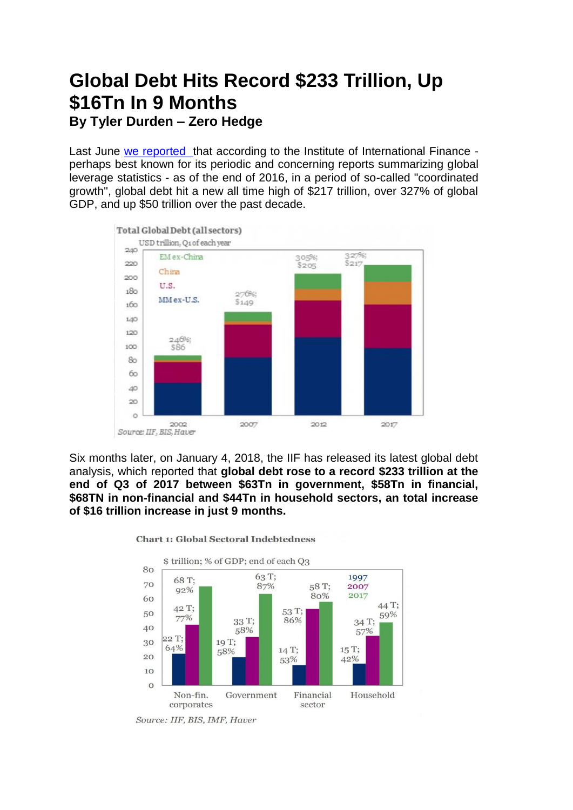## **Global Debt Hits Record \$233 Trillion, Up \$16Tn In 9 Months**

**By [Tyler Durden](https://www.zerohedge.com/users/tyler-durden) – Zero Hedge**

Last June [we reported](https://www.zerohedge.com/news/2017-06-29/global-debt-hits-new-record-high-217-trillion-327-gdp) that according to the Institute of International Finance perhaps best known for its periodic and concerning reports summarizing global leverage statistics - as of the end of 2016, in a period of so-called "coordinated growth", global debt hit a new all time high of \$217 trillion, over 327% of global GDP, and up \$50 trillion over the past decade.



Six months later, on January 4, 2018, the IIF has released its latest global debt analysis, which reported that **global debt rose to a record \$233 trillion at the end of Q3 of 2017 between \$63Tn in government, \$58Tn in financial, \$68TN in non-financial and \$44Tn in household sectors, an total increase of \$16 trillion increase in just 9 months.** 



**Chart 1: Global Sectoral Indebtedness** 

Source: IIF, BIS, IMF, Haver